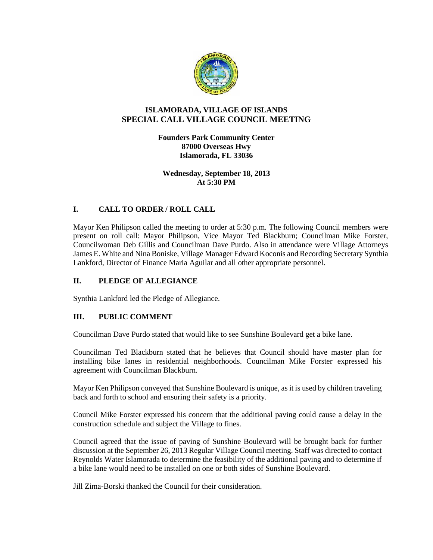

## **ISLAMORADA, VILLAGE OF ISLANDS SPECIAL CALL VILLAGE COUNCIL MEETING**

**Founders Park Community Center 87000 Overseas Hwy Islamorada, FL 33036**

**Wednesday, September 18, 2013 At 5:30 PM**

## **I. CALL TO ORDER / ROLL CALL**

Mayor Ken Philipson called the meeting to order at 5:30 p.m. The following Council members were present on roll call: Mayor Philipson, Vice Mayor Ted Blackburn; Councilman Mike Forster, Councilwoman Deb Gillis and Councilman Dave Purdo. Also in attendance were Village Attorneys James E. White and Nina Boniske, Village Manager Edward Koconis and Recording Secretary Synthia Lankford, Director of Finance Maria Aguilar and all other appropriate personnel.

#### **II. PLEDGE OF ALLEGIANCE**

Synthia Lankford led the Pledge of Allegiance.

#### **III. PUBLIC COMMENT**

Councilman Dave Purdo stated that would like to see Sunshine Boulevard get a bike lane.

Councilman Ted Blackburn stated that he believes that Council should have master plan for installing bike lanes in residential neighborhoods. Councilman Mike Forster expressed his agreement with Councilman Blackburn.

Mayor Ken Philipson conveyed that Sunshine Boulevard is unique, as it is used by children traveling back and forth to school and ensuring their safety is a priority.

Council Mike Forster expressed his concern that the additional paving could cause a delay in the construction schedule and subject the Village to fines.

Council agreed that the issue of paving of Sunshine Boulevard will be brought back for further discussion at the September 26, 2013 Regular Village Council meeting. Staff was directed to contact Reynolds Water Islamorada to determine the feasibility of the additional paving and to determine if a bike lane would need to be installed on one or both sides of Sunshine Boulevard.

Jill Zima-Borski thanked the Council for their consideration.